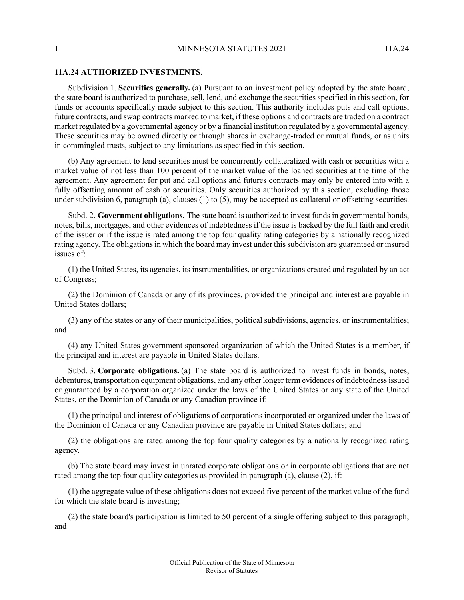## **11A.24 AUTHORIZED INVESTMENTS.**

Subdivision 1. **Securities generally.** (a) Pursuant to an investment policy adopted by the state board, the state board is authorized to purchase, sell, lend, and exchange the securities specified in this section, for funds or accounts specifically made subject to this section. This authority includes puts and call options, future contracts, and swap contracts marked to market, if these options and contracts are traded on a contract market regulated by a governmental agency or by a financial institution regulated by a governmental agency. These securities may be owned directly or through shares in exchange-traded or mutual funds, or as units in commingled trusts, subject to any limitations as specified in this section.

(b) Any agreement to lend securities must be concurrently collateralized with cash or securities with a market value of not less than 100 percent of the market value of the loaned securities at the time of the agreement. Any agreement for put and call options and futures contracts may only be entered into with a fully offsetting amount of cash or securities. Only securities authorized by this section, excluding those under subdivision 6, paragraph (a), clauses  $(1)$  to  $(5)$ , may be accepted as collateral or offsetting securities.

Subd. 2. **Government obligations.** The state board is authorized to invest fundsin governmental bonds, notes, bills, mortgages, and other evidences of indebtedness if the issue is backed by the full faith and credit of the issuer or if the issue is rated among the top four quality rating categories by a nationally recognized rating agency. The obligations in which the board may invest under this subdivision are guaranteed or insured issues of:

(1) the United States, its agencies, its instrumentalities, or organizations created and regulated by an act of Congress;

(2) the Dominion of Canada or any of its provinces, provided the principal and interest are payable in United States dollars;

(3) any of the states or any of their municipalities, political subdivisions, agencies, or instrumentalities; and

(4) any United States government sponsored organization of which the United States is a member, if the principal and interest are payable in United States dollars.

Subd. 3. **Corporate obligations.** (a) The state board is authorized to invest funds in bonds, notes, debentures, transportation equipment obligations, and any other longer term evidences of indebtedness issued or guaranteed by a corporation organized under the laws of the United States or any state of the United States, or the Dominion of Canada or any Canadian province if:

(1) the principal and interest of obligations of corporations incorporated or organized under the laws of the Dominion of Canada or any Canadian province are payable in United States dollars; and

(2) the obligations are rated among the top four quality categories by a nationally recognized rating agency.

(b) The state board may invest in unrated corporate obligations or in corporate obligations that are not rated among the top four quality categories as provided in paragraph (a), clause (2), if:

(1) the aggregate value of these obligations does not exceed five percent of the market value of the fund for which the state board is investing;

(2) the state board's participation is limited to 50 percent of a single offering subject to this paragraph; and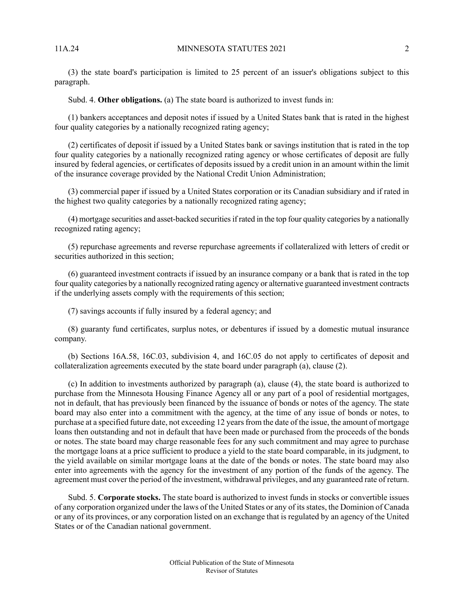(3) the state board's participation is limited to 25 percent of an issuer's obligations subject to this paragraph.

Subd. 4. **Other obligations.** (a) The state board is authorized to invest funds in:

(1) bankers acceptances and deposit notes if issued by a United States bank that is rated in the highest four quality categories by a nationally recognized rating agency;

(2) certificates of deposit if issued by a United States bank or savings institution that is rated in the top four quality categories by a nationally recognized rating agency or whose certificates of deposit are fully insured by federal agencies, or certificates of deposits issued by a credit union in an amount within the limit of the insurance coverage provided by the National Credit Union Administration;

(3) commercial paper if issued by a United States corporation or its Canadian subsidiary and if rated in the highest two quality categories by a nationally recognized rating agency;

(4) mortgage securities and asset-backed securitiesif rated in the top four quality categories by a nationally recognized rating agency;

(5) repurchase agreements and reverse repurchase agreements if collateralized with letters of credit or securities authorized in this section;

(6) guaranteed investment contracts if issued by an insurance company or a bank that is rated in the top four quality categories by a nationally recognized rating agency or alternative guaranteed investment contracts if the underlying assets comply with the requirements of this section;

(7) savings accounts if fully insured by a federal agency; and

(8) guaranty fund certificates, surplus notes, or debentures if issued by a domestic mutual insurance company.

(b) Sections 16A.58, 16C.03, subdivision 4, and 16C.05 do not apply to certificates of deposit and collateralization agreements executed by the state board under paragraph (a), clause (2).

(c) In addition to investments authorized by paragraph (a), clause (4), the state board is authorized to purchase from the Minnesota Housing Finance Agency all or any part of a pool of residential mortgages, not in default, that has previously been financed by the issuance of bonds or notes of the agency. The state board may also enter into a commitment with the agency, at the time of any issue of bonds or notes, to purchase at a specified future date, not exceeding 12 years from the date of the issue, the amount of mortgage loans then outstanding and not in default that have been made or purchased from the proceeds of the bonds or notes. The state board may charge reasonable fees for any such commitment and may agree to purchase the mortgage loans at a price sufficient to produce a yield to the state board comparable, in its judgment, to the yield available on similar mortgage loans at the date of the bonds or notes. The state board may also enter into agreements with the agency for the investment of any portion of the funds of the agency. The agreement must cover the period of the investment, withdrawal privileges, and any guaranteed rate of return.

Subd. 5. **Corporate stocks.** The state board is authorized to invest funds in stocks or convertible issues of any corporation organized under the laws of the United States or any of itsstates, the Dominion of Canada or any of its provinces, or any corporation listed on an exchange that is regulated by an agency of the United States or of the Canadian national government.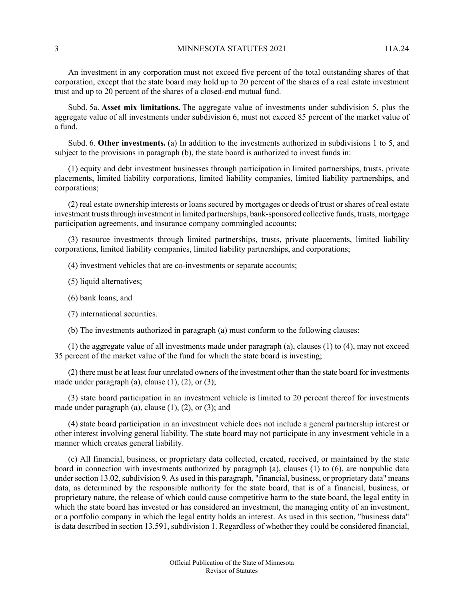An investment in any corporation must not exceed five percent of the total outstanding shares of that corporation, except that the state board may hold up to 20 percent of the shares of a real estate investment trust and up to 20 percent of the shares of a closed-end mutual fund.

Subd. 5a. **Asset mix limitations.** The aggregate value of investments under subdivision 5, plus the aggregate value of all investments under subdivision 6, must not exceed 85 percent of the market value of a fund.

Subd. 6. **Other investments.** (a) In addition to the investments authorized in subdivisions 1 to 5, and subject to the provisions in paragraph (b), the state board is authorized to invest funds in:

(1) equity and debt investment businesses through participation in limited partnerships, trusts, private placements, limited liability corporations, limited liability companies, limited liability partnerships, and corporations;

(2) real estate ownership interests or loans secured by mortgages or deeds of trust or shares of real estate investment trusts through investment in limited partnerships, bank-sponsored collective funds, trusts, mortgage participation agreements, and insurance company commingled accounts;

(3) resource investments through limited partnerships, trusts, private placements, limited liability corporations, limited liability companies, limited liability partnerships, and corporations;

- (4) investment vehicles that are co-investments or separate accounts;
- (5) liquid alternatives;
- (6) bank loans; and
- (7) international securities.
- (b) The investments authorized in paragraph (a) must conform to the following clauses:

(1) the aggregate value of all investments made under paragraph (a), clauses (1) to (4), may not exceed 35 percent of the market value of the fund for which the state board is investing;

(2) there must be at least four unrelated owners of the investment other than the state board for investments made under paragraph (a), clause  $(1)$ ,  $(2)$ , or  $(3)$ ;

(3) state board participation in an investment vehicle is limited to 20 percent thereof for investments made under paragraph (a), clause  $(1)$ ,  $(2)$ , or  $(3)$ ; and

(4) state board participation in an investment vehicle does not include a general partnership interest or other interest involving general liability. The state board may not participate in any investment vehicle in a manner which creates general liability.

(c) All financial, business, or proprietary data collected, created, received, or maintained by the state board in connection with investments authorized by paragraph (a), clauses (1) to (6), are nonpublic data under section 13.02, subdivision 9. As used in this paragraph, "financial, business, or proprietary data" means data, as determined by the responsible authority for the state board, that is of a financial, business, or proprietary nature, the release of which could cause competitive harm to the state board, the legal entity in which the state board has invested or has considered an investment, the managing entity of an investment, or a portfolio company in which the legal entity holds an interest. As used in this section, "business data" is data described in section 13.591, subdivision 1. Regardless of whether they could be considered financial,